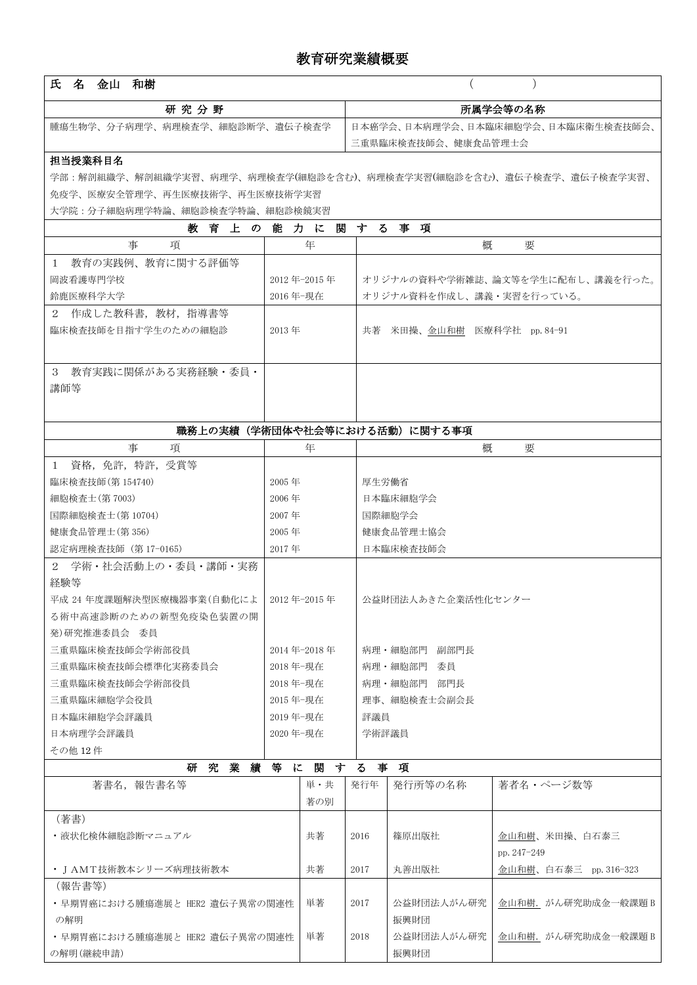## 教育研究業績概要

| 氏名<br>金山 和樹                                                         |                                     |          |      |                                    |                              |  |  |  |  |
|---------------------------------------------------------------------|-------------------------------------|----------|------|------------------------------------|------------------------------|--|--|--|--|
| 研究分野                                                                |                                     | 所属学会等の名称 |      |                                    |                              |  |  |  |  |
| 腫瘍生物学、分子病理学、病理検査学、細胞診断学、遺伝子検査学                                      |                                     |          |      | 日本癌学会、日本病理学会、日本臨床細胞学会、日本臨床衛生検査技師会、 |                              |  |  |  |  |
|                                                                     |                                     |          |      | 三重県臨床検査技師会、健康食品管理士会                |                              |  |  |  |  |
| 担当授業科目名                                                             |                                     |          |      |                                    |                              |  |  |  |  |
| 学部:解剖組織学、解剖組織学実習、病理学、病理検査学(細胞診を含む)、病理検査学実習(細胞診を含む)、遺伝子検査学、遺伝子検査学実習、 |                                     |          |      |                                    |                              |  |  |  |  |
| 免疫学、医療安全管理学、再生医療技術学、再生医療技術学実習                                       |                                     |          |      |                                    |                              |  |  |  |  |
| 大学院:分子細胞病理学特論、細胞診検査学特論、細胞診検鏡実習                                      |                                     |          |      |                                    |                              |  |  |  |  |
| 教育上の能力に関                                                            |                                     |          |      | する事項                               |                              |  |  |  |  |
| 事<br>項                                                              |                                     | 年        |      | 概                                  | 要                            |  |  |  |  |
| 1 教育の実践例、教育に関する評価等                                                  |                                     |          |      |                                    |                              |  |  |  |  |
| 岡波看護専門学校                                                            | 2012年-2015年                         |          |      | オリジナルの資料や学術雑誌、論文等を学生に配布し、講義を行った。   |                              |  |  |  |  |
| 鈴鹿医療科学大学                                                            | 2016年-現在                            |          |      | オリジナル資料を作成し、講義・実習を行っている。           |                              |  |  |  |  |
| 2 作成した教科書, 教材, 指導書等<br>臨床検査技師を目指す学生のための細胞診                          | $2013$ 年                            |          |      | 共著 米田操、金山和樹 医療科学社 pp. 84-91        |                              |  |  |  |  |
|                                                                     |                                     |          |      |                                    |                              |  |  |  |  |
|                                                                     |                                     |          |      |                                    |                              |  |  |  |  |
| 3 教育実践に関係がある実務経験・委員・                                                |                                     |          |      |                                    |                              |  |  |  |  |
| 講師等                                                                 |                                     |          |      |                                    |                              |  |  |  |  |
|                                                                     |                                     |          |      |                                    |                              |  |  |  |  |
| 職務上の実績(学術団体や社会等における活動)に関する事項                                        |                                     |          |      |                                    |                              |  |  |  |  |
| 事<br>項                                                              |                                     | 年        |      | 概                                  | 要                            |  |  |  |  |
| 1 資格, 免許, 特許, 受賞等                                                   |                                     |          |      |                                    |                              |  |  |  |  |
| 臨床検査技師 (第 154740)                                                   | $2005$ 年                            |          |      | 厚生労働省                              |                              |  |  |  |  |
| 細胞検査士(第7003)                                                        | $2006$ 年                            |          |      | 日本臨床細胞学会                           |                              |  |  |  |  |
| 国際細胞検査士(第 10704)                                                    | 2007年                               |          |      | 国際細胞学会                             |                              |  |  |  |  |
| 健康食品管理士(第356)                                                       | $2005$ 年                            |          |      | 健康食品管理士協会                          |                              |  |  |  |  |
| 認定病理検査技師 (第17-0165)                                                 | 2017年                               |          |      | 日本臨床検査技師会                          |                              |  |  |  |  |
| 2 学術・社会活動上の・委員・講師・実務                                                |                                     |          |      |                                    |                              |  |  |  |  |
| 経験等<br>平成 24 年度課題解決型医療機器事業(自動化によ                                    |                                     |          |      |                                    |                              |  |  |  |  |
| る術中高速診断のための新型免疫染色装置の開                                               | 2012年-2015年                         |          |      | 公益財団法人あきた企業活性化センター                 |                              |  |  |  |  |
| 発)研究推進委員会 委員                                                        |                                     |          |      |                                    |                              |  |  |  |  |
| 三重県臨床検査技師会学術部役員                                                     | 2014年-2018年                         |          |      | 病理·細胞部門 副部門長                       |                              |  |  |  |  |
| 三重県臨床検査技師会標準化実務委員会                                                  | 2018 年-現在                           |          |      | 病理・細胞部門 委員                         |                              |  |  |  |  |
| 三重県臨床検査技師会学術部役員                                                     | 2018年-現在                            |          |      | 病理·細胞部門 部門長                        |                              |  |  |  |  |
| 三重県臨床細胞学会役員                                                         | 2015 年-現在                           |          |      | 理事、細胞検査士会副会長                       |                              |  |  |  |  |
| 日本臨床細胞学会評議員                                                         | 2019 年-現在                           |          |      | 評議員                                |                              |  |  |  |  |
| 日本病理学会評議員                                                           | 2020 年-現在                           |          |      | 学術評議員                              |                              |  |  |  |  |
| その他 12件                                                             |                                     |          |      |                                    |                              |  |  |  |  |
| 究業績<br>等に関する事項<br>研                                                 |                                     |          |      |                                    |                              |  |  |  |  |
| 著書名, 報告書名等                                                          |                                     | 単・共      | 発行年  | 発行所等の名称                            | 著者名・ページ数等                    |  |  |  |  |
|                                                                     |                                     | 著の別      |      |                                    |                              |  |  |  |  |
| (著書)                                                                |                                     |          |      |                                    |                              |  |  |  |  |
| ・液状化検体細胞診断マニュアル                                                     |                                     | 共著       | 2016 | 篠原出版社                              | 金山和樹、米田操、白石泰三<br>pp. 247-249 |  |  |  |  |
| ・ J AMT技術教本シリーズ病理技術教本                                               |                                     | 共著       | 2017 | 丸善出版社                              | 金山和樹、白石泰三 pp. 316-323        |  |  |  |  |
| (報告書等)                                                              |                                     |          |      |                                    |                              |  |  |  |  |
| ・早期胃癌における腫瘍進展と HER2 遺伝子異常の関連性                                       |                                     | 単著       | 2017 | 公益財団法人がん研究                         | 金山和樹. がん研究助成金一般課題 B          |  |  |  |  |
| の解明                                                                 |                                     |          |      | 振興財団                               |                              |  |  |  |  |
|                                                                     | ・早期胃癌における腫瘍進展と HER2 遺伝子異常の関連性<br>単著 |          | 2018 | 公益財団法人がん研究                         | 金山和樹. がん研究助成金一般課題 B          |  |  |  |  |
| の解明(継続申請)                                                           |                                     |          |      | 振興財団                               |                              |  |  |  |  |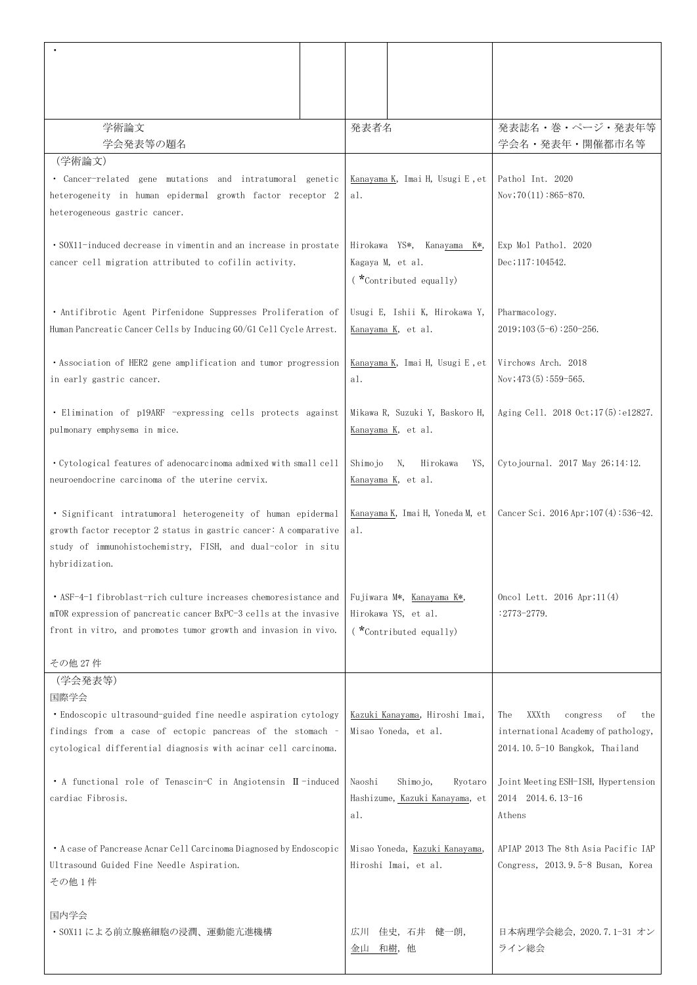| 学術論文                                                                                                                            |  | 発表者名                             |                                                | 発表誌名·巻·ページ·発表年等                                       |
|---------------------------------------------------------------------------------------------------------------------------------|--|----------------------------------|------------------------------------------------|-------------------------------------------------------|
| 学会発表等の題名                                                                                                                        |  |                                  |                                                | 学会名·発表年·開催都市名等                                        |
| (学術論文)<br>• Cancer-related gene mutations and intratumoral genetic                                                              |  |                                  | Kanayama K, Imai H, Usugi E, et                | Pathol Int. 2020                                      |
| heterogeneity in human epidermal growth factor receptor 2                                                                       |  |                                  |                                                | $Nov$ ; 70 $(11)$ : 865-870.                          |
| heterogeneous gastric cancer.                                                                                                   |  |                                  |                                                |                                                       |
|                                                                                                                                 |  |                                  |                                                |                                                       |
| • SOX11-induced decrease in vimentin and an increase in prostate<br>cancer cell migration attributed to cofilin activity.       |  |                                  | Hirokawa YS*, Kanayama K*,<br>Kagaya M, et al. | Exp Mol Pathol. 2020<br>$Dec$ ; 117: 104542.          |
|                                                                                                                                 |  |                                  | (*Contributed equally)                         |                                                       |
|                                                                                                                                 |  |                                  |                                                |                                                       |
| • Antifibrotic Agent Pirfenidone Suppresses Proliferation of                                                                    |  |                                  | Usugi E, Ishii K, Hirokawa Y,                  | Pharmacology.                                         |
| Human Pancreatic Cancer Cells by Inducing GO/G1 Cell Cycle Arrest.                                                              |  | Kanayama K, et al.               |                                                | 2019;103(5–6):250–256.                                |
| • Association of HER2 gene amplification and tumor progression                                                                  |  | Kanayama K, Imai H, Usugi E, et  |                                                | Virchows Arch. 2018                                   |
| in early gastric cancer.                                                                                                        |  |                                  |                                                | $Nov$ ; 473 $(5)$ : 559-565.                          |
|                                                                                                                                 |  |                                  |                                                |                                                       |
| • Elimination of p19ARF -expressing cells protects against                                                                      |  |                                  | Mikawa R, Suzuki Y, Baskoro H,                 | Aging Cell. 2018 Oct; 17(5): e12827.                  |
| pulmonary emphysema in mice.                                                                                                    |  |                                  | Kanayama K, et al.                             |                                                       |
| • Cytological features of adenocarcinoma admixed with small cell                                                                |  | Shimojo<br>N,<br>YS,<br>Hirokawa |                                                | Cytojournal. 2017 May 26;14:12.                       |
| neuroendocrine carcinoma of the uterine cervix.                                                                                 |  |                                  | Kanayama K, et al.                             |                                                       |
|                                                                                                                                 |  |                                  |                                                |                                                       |
| • Significant intratumoral heterogeneity of human epidermal                                                                     |  |                                  | Kanayama K, Imai H, Yoneda M, et               | Cancer Sci. 2016 Apr; $107(4):536-42$ .               |
| growth factor receptor 2 status in gastric cancer: A comparative<br>study of immunohistochemistry, FISH, and dual-color in situ |  |                                  |                                                |                                                       |
| hybridization.                                                                                                                  |  |                                  |                                                |                                                       |
|                                                                                                                                 |  |                                  |                                                |                                                       |
| • ASF-4-1 fibroblast-rich culture increases chemoresistance and                                                                 |  |                                  | Fujiwara M*, Kanayama K*,                      | Oncol Lett. 2016 Apr; $11(4)$                         |
| mTOR expression of pancreatic cancer BxPC-3 cells at the invasive                                                               |  |                                  | Hirokawa YS, et al.<br>(*Contributed equally)  | : 2773-2779.                                          |
| front in vitro, and promotes tumor growth and invasion in vivo.                                                                 |  |                                  |                                                |                                                       |
| その他 27件                                                                                                                         |  |                                  |                                                |                                                       |
| (学会発表等)                                                                                                                         |  |                                  |                                                |                                                       |
| 国際学会                                                                                                                            |  |                                  | Kazuki Kanayama, Hiroshi Imai,                 | XXXth<br>The<br>the                                   |
| • Endoscopic ultrasound-guided fine needle aspiration cytology<br>findings from a case of ectopic pancreas of the stomach -     |  |                                  | Misao Yoneda, et al.                           | congress<br>οf<br>international Academy of pathology, |
| cytological differential diagnosis with acinar cell carcinoma.                                                                  |  |                                  |                                                | 2014.10.5-10 Bangkok, Thailand                        |
|                                                                                                                                 |  |                                  |                                                |                                                       |
| • A functional role of Tenascin-C in Angiotensin II-induced                                                                     |  |                                  | Shimojo,<br>Ryotaro                            | Joint Meeting ESH-ISH, Hypertension                   |
| cardiac Fibrosis.                                                                                                               |  |                                  | Hashizume, Kazuki Kanayama, et                 | 2014 2014. 6. 13-16                                   |
|                                                                                                                                 |  | al.                              |                                                | Athens                                                |
| • A case of Pancrease Acnar Cell Carcinoma Diagnosed by Endoscopic                                                              |  |                                  | Misao Yoneda, Kazuki Kanayama,                 | APIAP 2013 The 8th Asia Pacific IAP                   |
| Ultrasound Guided Fine Needle Aspiration.                                                                                       |  |                                  | Hiroshi Imai, et al.                           | Congress, 2013.9.5-8 Busan, Korea                     |
| その他1件                                                                                                                           |  |                                  |                                                |                                                       |
| 国内学会                                                                                                                            |  |                                  |                                                |                                                       |
| ・SOX11 による前立腺癌細胞の浸潤、運動能亢進機構                                                                                                     |  | 広川                               | 佳史,石井<br>健一朗,                                  | 日本病理学会総会, 2020.7.1-31 オン                              |
|                                                                                                                                 |  |                                  | 和樹, 他                                          | ライン総会                                                 |